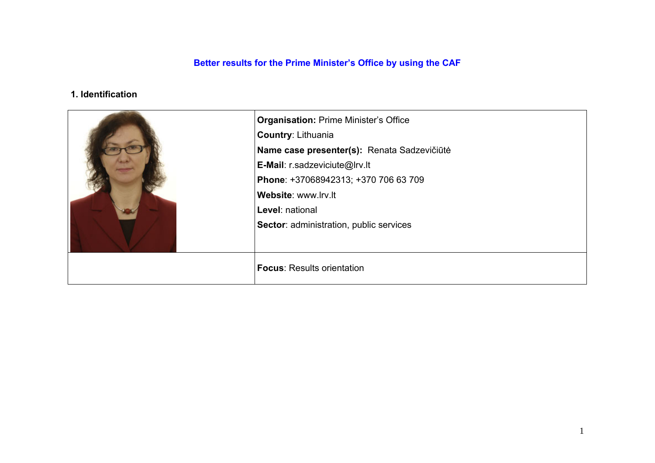## **Better results for the Prime Minister's Office by using the CAF**

## **1. Identification**

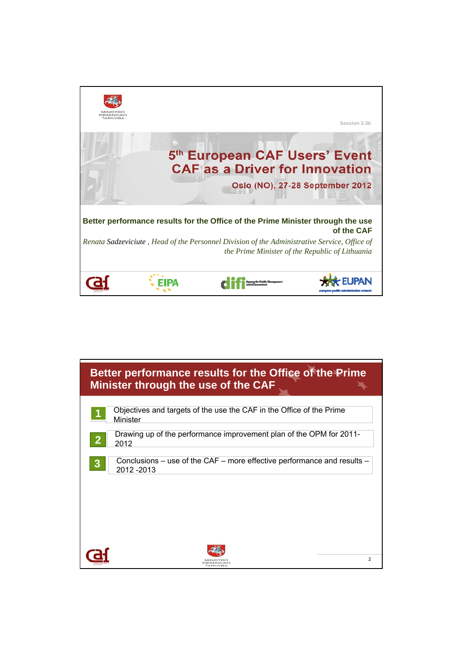

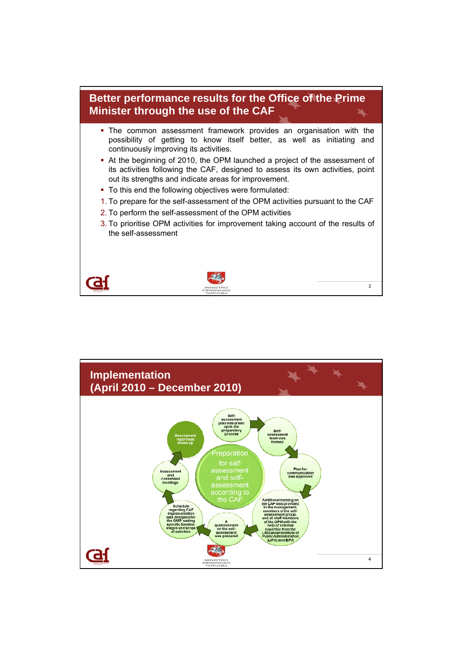

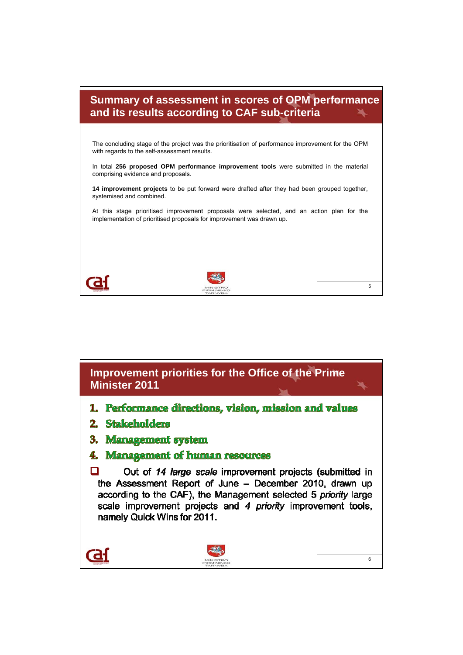

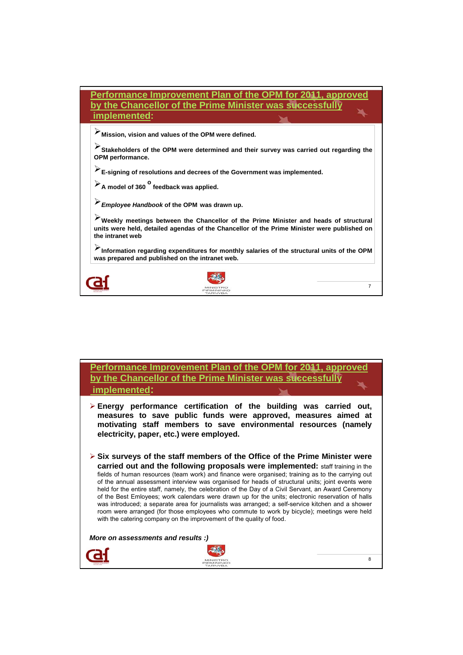| Performance Improvement Plan of the OPM for 2011, approved<br>by the Chancellor of the Prime Minister was successfully<br>implemented:                                                                  |                |  |  |
|---------------------------------------------------------------------------------------------------------------------------------------------------------------------------------------------------------|----------------|--|--|
| Mission, vision and values of the OPM were defined.                                                                                                                                                     |                |  |  |
| Stakeholders of the OPM were determined and their survey was carried out regarding the<br>OPM performance.                                                                                              |                |  |  |
| E-signing of resolutions and decrees of the Government was implemented.                                                                                                                                 |                |  |  |
| $\triangleright$ A model of 360 feedback was applied.                                                                                                                                                   |                |  |  |
| Employee Handbook of the OPM was drawn up.                                                                                                                                                              |                |  |  |
| Weekly meetings between the Chancellor of the Prime Minister and heads of structural<br>units were held, detailed agendas of the Chancellor of the Prime Minister were published on<br>the intranet web |                |  |  |
| Information regarding expenditures for monthly salaries of the structural units of the OPM<br>was prepared and published on the intranet web.                                                           |                |  |  |
|                                                                                                                                                                                                         |                |  |  |
|                                                                                                                                                                                                         | $\overline{7}$ |  |  |

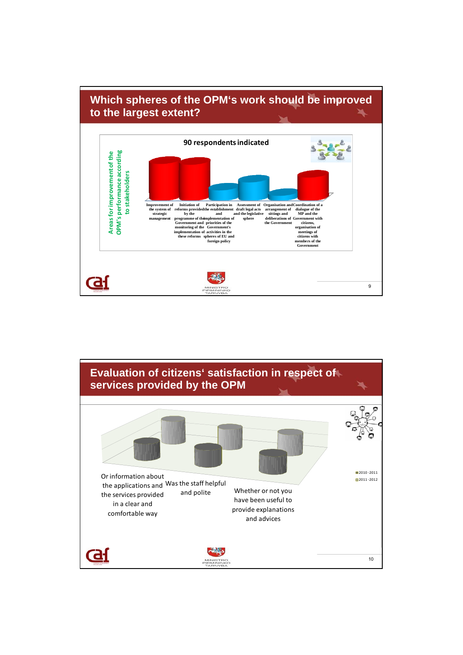

![](_page_5_Figure_1.jpeg)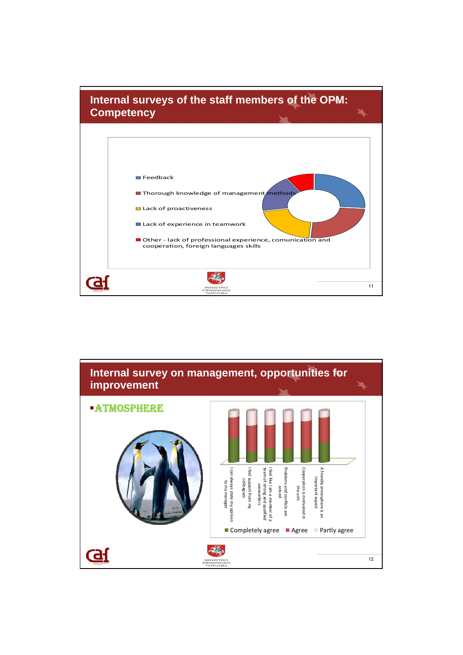![](_page_6_Figure_0.jpeg)

![](_page_6_Figure_1.jpeg)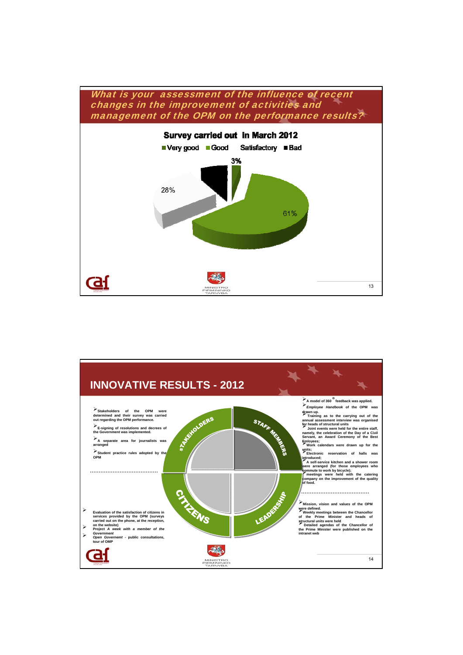![](_page_7_Figure_0.jpeg)

![](_page_7_Figure_1.jpeg)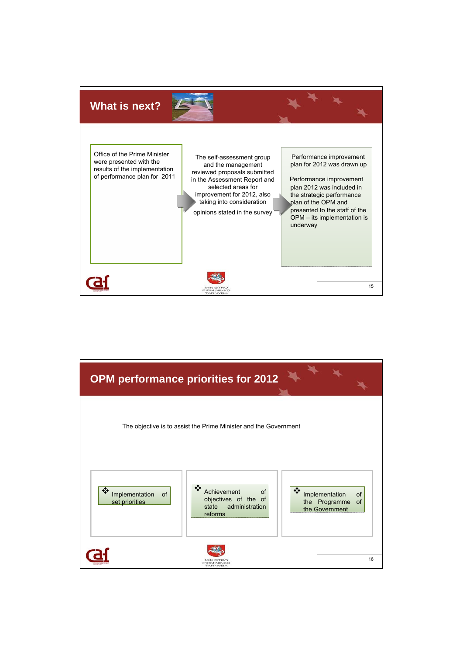![](_page_8_Picture_0.jpeg)

![](_page_8_Figure_1.jpeg)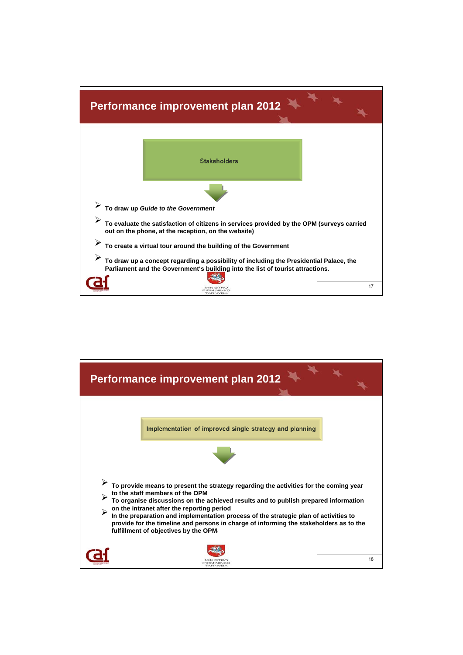![](_page_9_Figure_0.jpeg)

![](_page_9_Figure_1.jpeg)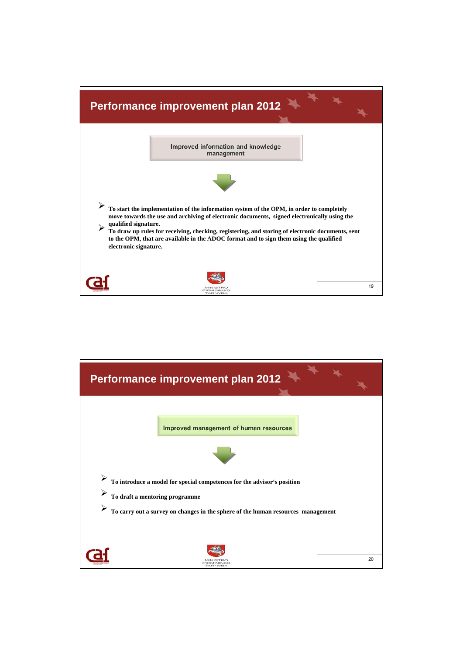![](_page_10_Figure_0.jpeg)

![](_page_10_Picture_1.jpeg)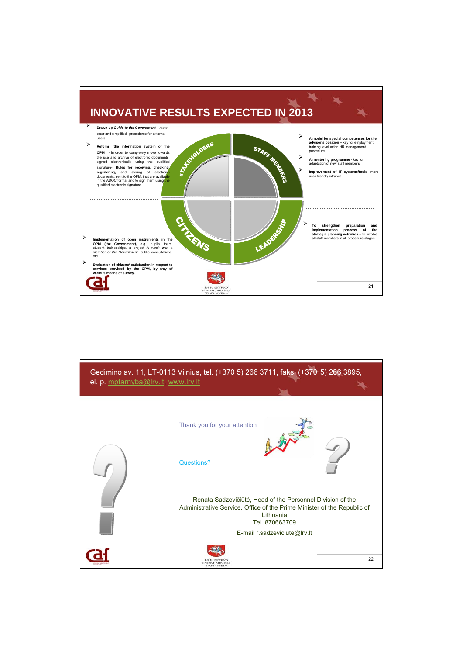![](_page_11_Figure_0.jpeg)

![](_page_11_Figure_1.jpeg)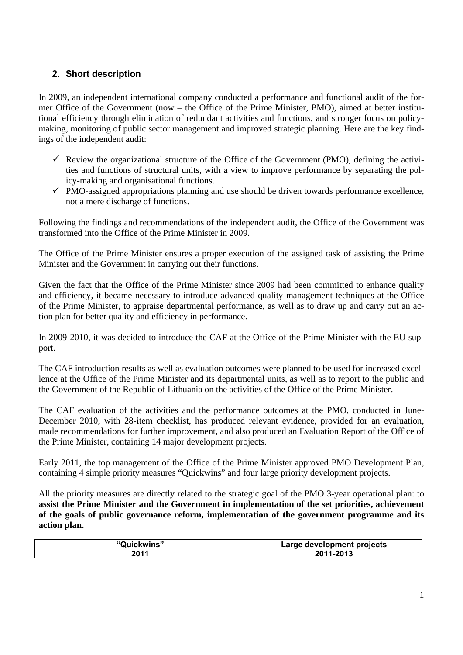## **2. Short description**

In 2009, an independent international company conducted a performance and functional audit of the former Office of the Government (now – the Office of the Prime Minister, PMO), aimed at better institutional efficiency through elimination of redundant activities and functions, and stronger focus on policymaking, monitoring of public sector management and improved strategic planning. Here are the key findings of the independent audit:

- $\checkmark$  Review the organizational structure of the Office of the Government (PMO), defining the activities and functions of structural units, with a view to improve performance by separating the policy-making and organisational functions.
- $\checkmark$  PMO-assigned appropriations planning and use should be driven towards performance excellence, not a mere discharge of functions.

Following the findings and recommendations of the independent audit, the Office of the Government was transformed into the Office of the Prime Minister in 2009.

The Office of the Prime Minister ensures a proper execution of the assigned task of assisting the Prime Minister and the Government in carrying out their functions.

Given the fact that the Office of the Prime Minister since 2009 had been committed to enhance quality and efficiency, it became necessary to introduce advanced quality management techniques at the Office of the Prime Minister, to appraise departmental performance, as well as to draw up and carry out an action plan for better quality and efficiency in performance.

In 2009-2010, it was decided to introduce the CAF at the Office of the Prime Minister with the EU support.

The CAF introduction results as well as evaluation outcomes were planned to be used for increased excellence at the Office of the Prime Minister and its departmental units, as well as to report to the public and the Government of the Republic of Lithuania on the activities of the Office of the Prime Minister.

The CAF evaluation of the activities and the performance outcomes at the PMO, conducted in June-December 2010, with 28-item checklist, has produced relevant evidence, provided for an evaluation, made recommendations for further improvement, and also produced an Evaluation Report of the Office of the Prime Minister, containing 14 major development projects.

Early 2011, the top management of the Office of the Prime Minister approved PMO Development Plan, containing 4 simple priority measures "Quickwins" and four large priority development projects.

All the priority measures are directly related to the strategic goal of the PMO 3-year operational plan: to **assist the Prime Minister and the Government in implementation of the set priorities, achievement of the goals of public governance reform, implementation of the government programme and its action plan.** 

| "Quickwins" | Large development projects |
|-------------|----------------------------|
| 2011        | 2011-2013                  |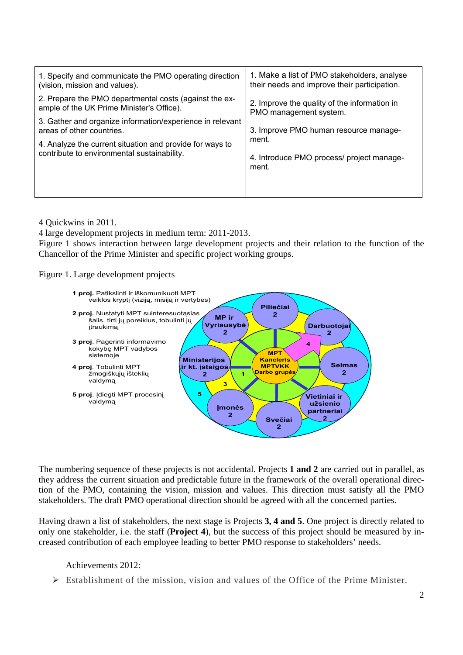| 1. Specify and communicate the PMO operating direction<br>(vision, mission and values).                 | 1. Make a list of PMO stakeholders, analyse<br>their needs and improve their participation. |
|---------------------------------------------------------------------------------------------------------|---------------------------------------------------------------------------------------------|
| 2. Prepare the PMO departmental costs (against the ex-<br>ample of the UK Prime Minister's Office).     | 2. Improve the quality of the information in<br>PMO management system.                      |
| 3. Gather and organize information/experience in relevant<br>areas of other countries.                  | 3. Improve PMO human resource manage-                                                       |
| 4. Analyze the current situation and provide for ways to<br>contribute to environmental sustainability. | ment.<br>4. Introduce PMO process/ project manage-<br>ment.                                 |
|                                                                                                         |                                                                                             |

4 Quickwins in 2011.

4 large development projects in medium term: 2011-2013.

Figure 1 shows interaction between large development projects and their relation to the function of the Chancellor of the Prime Minister and specific project working groups.

Figure 1. Large development projects

![](_page_13_Figure_5.jpeg)

The numbering sequence of these projects is not accidental. Projects **1 and 2** are carried out in parallel, as they address the current situation and predictable future in the framework of the overall operational direction of the PMO, containing the vision, mission and values. This direction must satisfy all the PMO stakeholders. The draft PMO operational direction should be agreed with all the concerned parties.

Having drawn a list of stakeholders, the next stage is Projects **3, 4 and 5**. One project is directly related to only one stakeholder, i.e. the staff (**Project 4**), but the success of this project should be measured by increased contribution of each employee leading to better PMO response to stakeholders' needs.

Achievements 2012:

 $\triangleright$  Establishment of the mission, vision and values of the Office of the Prime Minister.